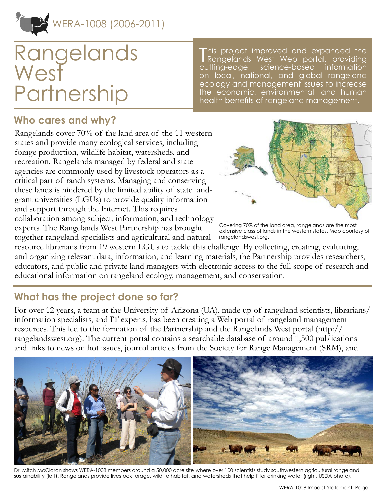

# Rangelands **West Partnership**

This project improved and expanded the<br>Rangelands West Web portal, providing Rangelands West Web portal, providing cutting-edge, science-based information on local, national, and global rangeland ecology and management issues to increase the economic, environmental, and human health benefits of rangeland management.

## **Who cares and why?**

Rangelands cover 70% of the land area of the 11 western states and provide many ecological services, including forage production, wildlife habitat, watersheds, and recreation. Rangelands managed by federal and state agencies are commonly used by livestock operators as a critical part of ranch systems. Managing and conserving these lands is hindered by the limited ability of state landgrant universities (LGUs) to provide quality information and support through the Internet. This requires collaboration among subject, information, and technology experts. The Rangelands West Partnership has brought together rangeland specialists and agricultural and natural



Covering 70% of the land area, rangelands are the most extensive class of lands in the western states. Map courtesy of rangelandswest.org.

resource librarians from 19 western LGUs to tackle this challenge. By collecting, creating, evaluating, and organizing relevant data, information, and learning materials, the Partnership provides researchers, educators, and public and private land managers with electronic access to the full scope of research and educational information on rangeland ecology, management, and conservation.

# **What has the project done so far?**

For over 12 years, a team at the University of Arizona (UA), made up of rangeland scientists, librarians/ information specialists, and IT experts, has been creating a Web portal of rangeland management resources. This led to the formation of the Partnership and the Rangelands West portal [\(http://](rom%20the%20UA%20Libraries%E2%80%99%20Strategic%20Plan%20funds%20to%20conduct%20a%20needs%20assessment%20%28see%20next%20bullet%29%20and%20to%20develop%20a%20business%20plan.%20Both%20were%20completed%20and%20used%20as%20the%20framework%20for%20restructuring%20for%20sustainability%20of%20the%20projec) [rangelandswest.org\)](rom%20the%20UA%20Libraries%E2%80%99%20Strategic%20Plan%20funds%20to%20conduct%20a%20needs%20assessment%20%28see%20next%20bullet%29%20and%20to%20develop%20a%20business%20plan.%20Both%20were%20completed%20and%20used%20as%20the%20framework%20for%20restructuring%20for%20sustainability%20of%20the%20projec). The current portal contains a searchable database of around 1,500 publications and links to news on hot issues, journal articles from the Society for Range Management (SRM), and



Dr. Mitch McClaran shows WERA-1008 members around a 50,000 acre site where over 100 scientists study southwestern agricultural rangeland sustainability (left). Rangelands provide livestock forage, wildlife habitat, and watersheds that help filter drinking water (right, USDA photo).